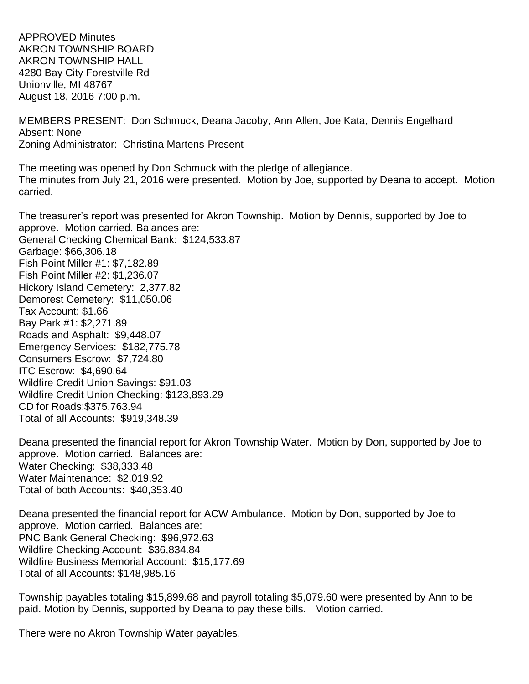APPROVED Minutes AKRON TOWNSHIP BOARD AKRON TOWNSHIP HALL 4280 Bay City Forestville Rd Unionville, MI 48767 August 18, 2016 7:00 p.m.

MEMBERS PRESENT: Don Schmuck, Deana Jacoby, Ann Allen, Joe Kata, Dennis Engelhard Absent: None Zoning Administrator: Christina Martens-Present

The meeting was opened by Don Schmuck with the pledge of allegiance. The minutes from July 21, 2016 were presented. Motion by Joe, supported by Deana to accept. Motion carried.

The treasurer's report was presented for Akron Township. Motion by Dennis, supported by Joe to approve. Motion carried. Balances are: General Checking Chemical Bank: \$124,533.87 Garbage: \$66,306.18 Fish Point Miller #1: \$7,182.89 Fish Point Miller #2: \$1,236.07 Hickory Island Cemetery: 2,377.82 Demorest Cemetery: \$11,050.06 Tax Account: \$1.66 Bay Park #1: \$2,271.89 Roads and Asphalt: \$9,448.07 Emergency Services: \$182,775.78 Consumers Escrow: \$7,724.80 ITC Escrow: \$4,690.64 Wildfire Credit Union Savings: \$91.03 Wildfire Credit Union Checking: \$123,893.29 CD for Roads:\$375,763.94 Total of all Accounts: \$919,348.39

Deana presented the financial report for Akron Township Water. Motion by Don, supported by Joe to approve. Motion carried. Balances are: Water Checking: \$38,333.48 Water Maintenance: \$2,019.92 Total of both Accounts: \$40,353.40

Deana presented the financial report for ACW Ambulance. Motion by Don, supported by Joe to approve. Motion carried. Balances are: PNC Bank General Checking: \$96,972.63 Wildfire Checking Account: \$36,834.84 Wildfire Business Memorial Account: \$15,177.69 Total of all Accounts: \$148,985.16

Township payables totaling \$15,899.68 and payroll totaling \$5,079.60 were presented by Ann to be paid. Motion by Dennis, supported by Deana to pay these bills. Motion carried.

There were no Akron Township Water payables.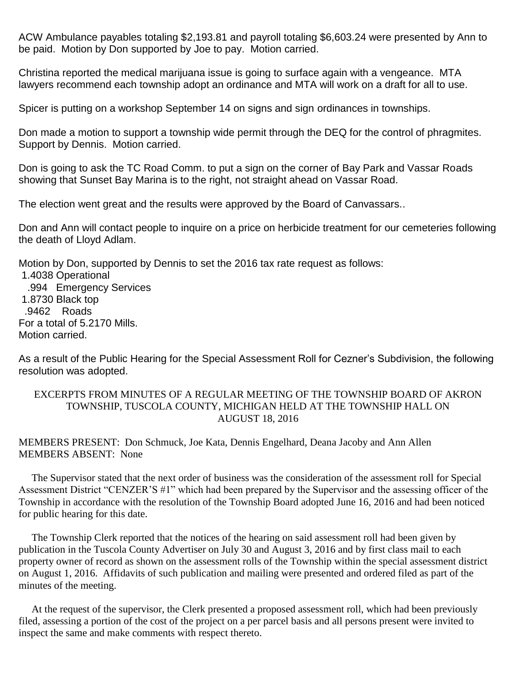ACW Ambulance payables totaling \$2,193.81 and payroll totaling \$6,603.24 were presented by Ann to be paid. Motion by Don supported by Joe to pay. Motion carried.

Christina reported the medical marijuana issue is going to surface again with a vengeance. MTA lawyers recommend each township adopt an ordinance and MTA will work on a draft for all to use.

Spicer is putting on a workshop September 14 on signs and sign ordinances in townships.

Don made a motion to support a township wide permit through the DEQ for the control of phragmites. Support by Dennis. Motion carried.

Don is going to ask the TC Road Comm. to put a sign on the corner of Bay Park and Vassar Roads showing that Sunset Bay Marina is to the right, not straight ahead on Vassar Road.

The election went great and the results were approved by the Board of Canvassars..

Don and Ann will contact people to inquire on a price on herbicide treatment for our cemeteries following the death of Lloyd Adlam.

Motion by Don, supported by Dennis to set the 2016 tax rate request as follows:

1.4038 Operational .994 Emergency Services 1.8730 Black top .9462 Roads For a total of 5.2170 Mills. Motion carried.

As a result of the Public Hearing for the Special Assessment Roll for Cezner's Subdivision, the following resolution was adopted.

## EXCERPTS FROM MINUTES OF A REGULAR MEETING OF THE TOWNSHIP BOARD OF AKRON TOWNSHIP, TUSCOLA COUNTY, MICHIGAN HELD AT THE TOWNSHIP HALL ON AUGUST 18, 2016

## MEMBERS PRESENT: Don Schmuck, Joe Kata, Dennis Engelhard, Deana Jacoby and Ann Allen MEMBERS ABSENT: None

 The Supervisor stated that the next order of business was the consideration of the assessment roll for Special Assessment District "CENZER'S #1" which had been prepared by the Supervisor and the assessing officer of the Township in accordance with the resolution of the Township Board adopted June 16, 2016 and had been noticed for public hearing for this date.

 The Township Clerk reported that the notices of the hearing on said assessment roll had been given by publication in the Tuscola County Advertiser on July 30 and August 3, 2016 and by first class mail to each property owner of record as shown on the assessment rolls of the Township within the special assessment district on August 1, 2016. Affidavits of such publication and mailing were presented and ordered filed as part of the minutes of the meeting.

 At the request of the supervisor, the Clerk presented a proposed assessment roll, which had been previously filed, assessing a portion of the cost of the project on a per parcel basis and all persons present were invited to inspect the same and make comments with respect thereto.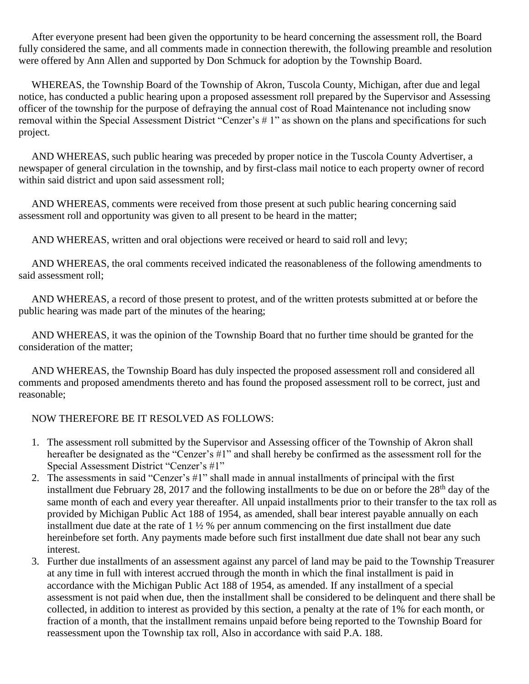After everyone present had been given the opportunity to be heard concerning the assessment roll, the Board fully considered the same, and all comments made in connection therewith, the following preamble and resolution were offered by Ann Allen and supported by Don Schmuck for adoption by the Township Board.

 WHEREAS, the Township Board of the Township of Akron, Tuscola County, Michigan, after due and legal notice, has conducted a public hearing upon a proposed assessment roll prepared by the Supervisor and Assessing officer of the township for the purpose of defraying the annual cost of Road Maintenance not including snow removal within the Special Assessment District "Cenzer's # 1" as shown on the plans and specifications for such project.

 AND WHEREAS, such public hearing was preceded by proper notice in the Tuscola County Advertiser, a newspaper of general circulation in the township, and by first-class mail notice to each property owner of record within said district and upon said assessment roll;

 AND WHEREAS, comments were received from those present at such public hearing concerning said assessment roll and opportunity was given to all present to be heard in the matter;

AND WHEREAS, written and oral objections were received or heard to said roll and levy;

 AND WHEREAS, the oral comments received indicated the reasonableness of the following amendments to said assessment roll;

 AND WHEREAS, a record of those present to protest, and of the written protests submitted at or before the public hearing was made part of the minutes of the hearing;

 AND WHEREAS, it was the opinion of the Township Board that no further time should be granted for the consideration of the matter;

 AND WHEREAS, the Township Board has duly inspected the proposed assessment roll and considered all comments and proposed amendments thereto and has found the proposed assessment roll to be correct, just and reasonable;

## NOW THEREFORE BE IT RESOLVED AS FOLLOWS:

- 1. The assessment roll submitted by the Supervisor and Assessing officer of the Township of Akron shall hereafter be designated as the "Cenzer's #1" and shall hereby be confirmed as the assessment roll for the Special Assessment District "Cenzer's #1"
- 2. The assessments in said "Cenzer's #1" shall made in annual installments of principal with the first installment due February 28, 2017 and the following installments to be due on or before the  $28<sup>th</sup>$  day of the same month of each and every year thereafter. All unpaid installments prior to their transfer to the tax roll as provided by Michigan Public Act 188 of 1954, as amended, shall bear interest payable annually on each installment due date at the rate of  $1\frac{1}{2}$ % per annum commencing on the first installment due date hereinbefore set forth. Any payments made before such first installment due date shall not bear any such interest.
- 3. Further due installments of an assessment against any parcel of land may be paid to the Township Treasurer at any time in full with interest accrued through the month in which the final installment is paid in accordance with the Michigan Public Act 188 of 1954, as amended. If any installment of a special assessment is not paid when due, then the installment shall be considered to be delinquent and there shall be collected, in addition to interest as provided by this section, a penalty at the rate of 1% for each month, or fraction of a month, that the installment remains unpaid before being reported to the Township Board for reassessment upon the Township tax roll, Also in accordance with said P.A. 188.